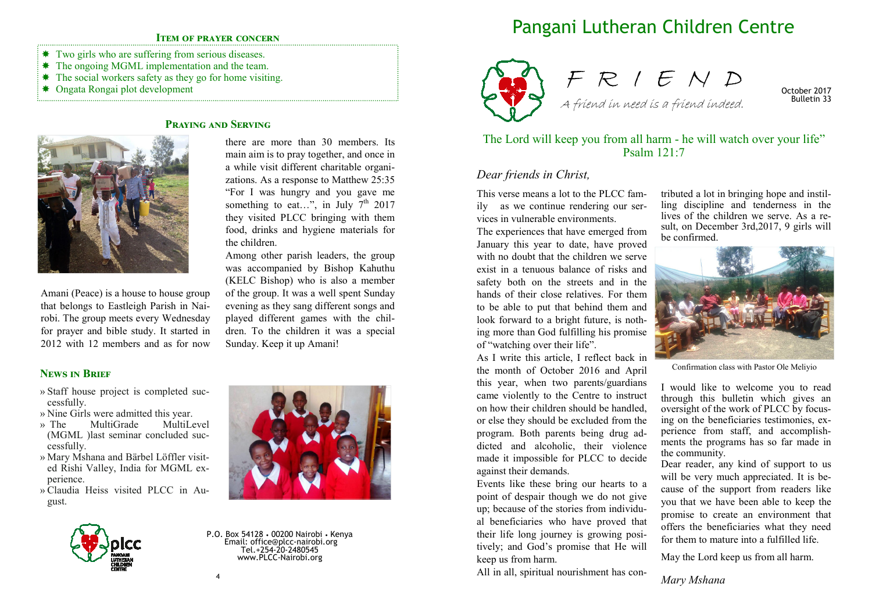### **ITEM OF PRAYER CONCERN**

- Two girls who are suffering from serious diseases.
- \* The ongoing MGML implementation and the team.
- $*$  The social workers safety as they go for home visiting.
- Ongata Rongai plot development

# **PRAYING AND SERVING**



Amani (Peace) is a house to house group that belongs to Eastleigh Parish in Nairobi. The group meets every Wednesday for prayer and bible study. It started in 2012 with 12 members and as for now

there are more than 30 members. Its main aim is to pray together, and once in a while visit different charitable organizations. As a response to Matthew 25:35 "For I was hungry and you gave me something to eat...", in July  $7<sup>th</sup>$  2017 they visited PLCC bringing with them food, drinks and hygiene materials for the children.

Among other parish leaders, the group was accompanied by Bishop Kahuthu (KELC Bishop) who is also a member of the group. It was a well spent Sunday evening as they sang different songs and played different games with the children. To the children it was a special Sunday. Keep it up Amani!

### **NEWS IN BRIEF**

- » Staff house project is completed successfully.
- » Nine Girls were admitted this year.<br>
» The MultiGrade MultiLevel
- MultiGrade (MGML )last seminar concluded successfully.
- » Mary Mshana and Bärbel Löffler visited Rishi Valley, India for MGML experience.
- » Claudia Heiss visited PLCC in August.



P.O. Box 54128 • 00200 Nairobi • Kenya Email: office@plcc-nairobi.org Tel.+254-20-2480545 www.PLCC-Nairobi.org

# Pangani Lutheran Children Centre





October 2017 Bulletin 33

## The Lord will keep you from all harm - he will watch over your life" Psalm 121:7

## *Dear friends in Christ,*

This verse means a lot to the PLCC family as we continue rendering our services in vulnerable environments.

The experiences that have emerged from January this year to date, have proved with no doubt that the children we serve exist in a tenuous balance of risks and safety both on the streets and in the hands of their close relatives. For them to be able to put that behind them and look forward to a bright future, is nothing more than God fulfilling his promise of "watching over their life".

As I write this article, I reflect back in the month of October 2016 and April this year, when two parents/guardians came violently to the Centre to instruct on how their children should be handled, or else they should be excluded from the program. Both parents being drug addicted and alcoholic, their violence made it impossible for PLCC to decide against their demands.

Events like these bring our hearts to a point of despair though we do not give up; because of the stories from individual beneficiaries who have proved that their life long journey is growing positively; and God's promise that He will keep us from harm.

All in all, spiritual nourishment has con-

tributed a lot in bringing hope and instilling discipline and tenderness in the lives of the children we serve. As a result, on December 3rd,2017, 9 girls will be confirmed.



Confirmation class with Pastor Ole Meliyio

I would like to welcome you to read through this bulletin which gives an oversight of the work of PLCC by focusing on the beneficiaries testimonies, experience from staff, and accomplishments the programs has so far made in the community.

Dear reader, any kind of support to us will be very much appreciated. It is because of the support from readers like you that we have been able to keep the promise to create an environment that offers the beneficiaries what they need for them to mature into a fulfilled life.

May the Lord keep us from all harm.

*Mary Mshana*